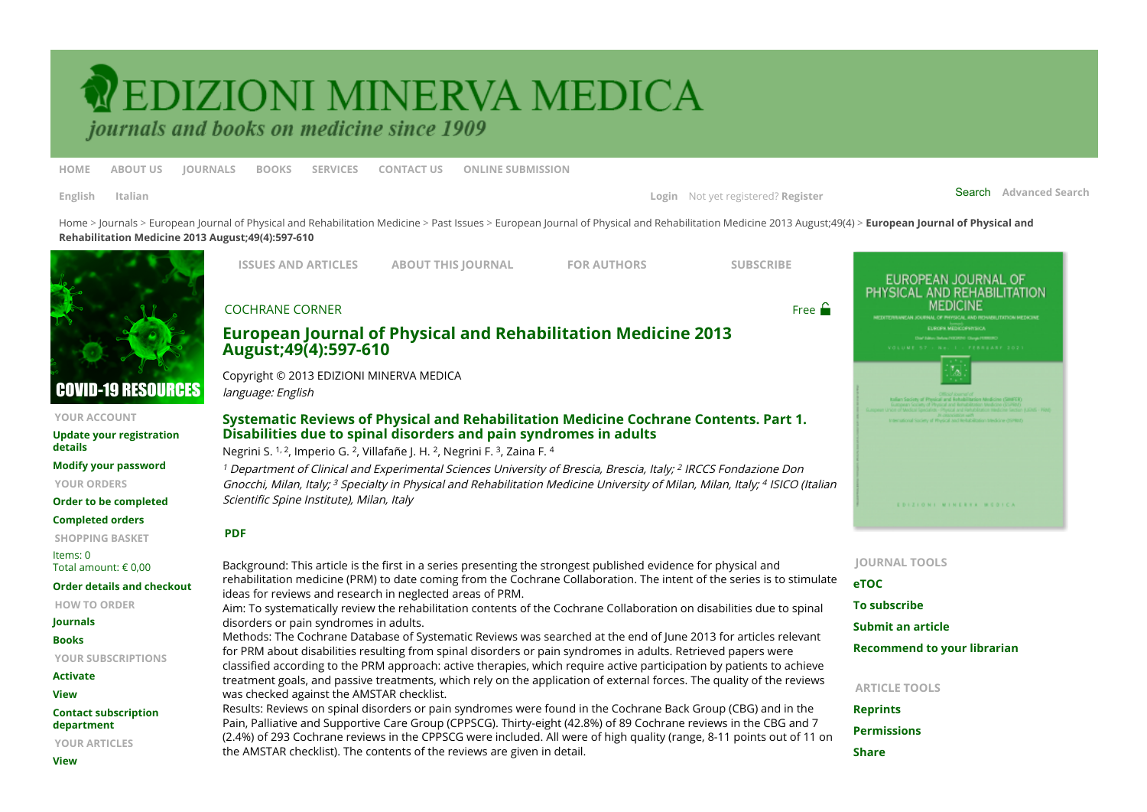## <span id="page-0-0"></span>**VEDIZIONI MINERVA MEDICA**

journals and books on medicine since 1909

**[HOME](https://www.minervamedica.it/en/index.php) [ABOUT US](https://www.minervamedica.it/en/about-us.php) [JOURNALS](https://www.minervamedica.it/en/journals/index.php) [BOOKS](https://www.minervamedica.it/en/books/index.php) [SERVICES](https://www.minervamedica.it/en/services.php) [CONTACT US](https://www.minervamedica.it/en/contact-us.php) [ONLINE SUBMISSION](http://www.minervamedicaonlinesubmission.it/)**

**[English](https://www.minervamedica.it/en/journals/europa-medicophysica/article.php?cod=R33Y2013N04A0597) [Italian](https://www.minervamedica.it/it/riviste/europa-medicophysica/articolo.php?cod=R33Y2013N04A0597)** Search **[Advanced Search](https://www.minervamedica.it/en/search.php) [Login](https://www.minervamedica.it/en/login.php)** Not yet registered? **[Register](https://www.minervamedica.it/en/register.php)**

[Hom](https://www.minervamedica.it/en/index.php)[e > J](https://www.minervamedica.it/en/journals/europa-medicophysica/article.php?cod=R33Y2013N04A0597)[ournal](https://www.minervamedica.it/en/journals/index.php)[s >](https://www.minervamedica.it/en/journals/europa-medicophysica/article.php?cod=R33Y2013N04A0597) [European Journal of Physical and Rehabilitation Medicine](https://www.minervamedica.it/en/journals/europa-medicophysica/index.php) [>](https://www.minervamedica.it/en/journals/europa-medicophysica/article.php?cod=R33Y2013N04A0597) [Past Issue](https://www.minervamedica.it/en/journals/europa-medicophysica/archive.php?cod=R33Y2013)[s > E](https://www.minervamedica.it/en/journals/europa-medicophysica/article.php?cod=R33Y2013N04A0597)[uropean Journal of Physical and Rehabilitation Medicine 2013 August;49\(4](https://www.minervamedica.it/en/journals/europa-medicophysica/issue.php?cod=R33Y2013N04)[\) >](https://www.minervamedica.it/en/journals/europa-medicophysica/article.php?cod=R33Y2013N04A0597) **European Journal of Physical and Rehabilitation Medicine 2013 August;49(4):597-610**